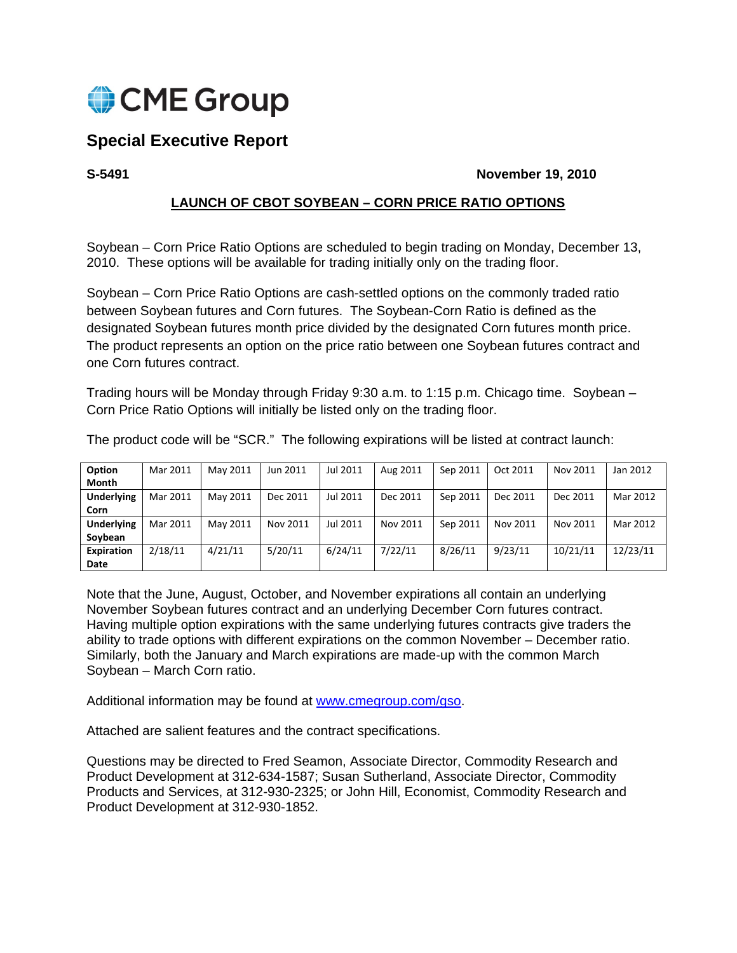

# **Special Executive Report**

**S-5491 November 19, 2010** 

# **LAUNCH OF CBOT SOYBEAN – CORN PRICE RATIO OPTIONS**

Soybean – Corn Price Ratio Options are scheduled to begin trading on Monday, December 13, 2010. These options will be available for trading initially only on the trading floor.

Soybean – Corn Price Ratio Options are cash-settled options on the commonly traded ratio between Soybean futures and Corn futures. The Soybean-Corn Ratio is defined as the designated Soybean futures month price divided by the designated Corn futures month price. The product represents an option on the price ratio between one Soybean futures contract and one Corn futures contract.

Trading hours will be Monday through Friday 9:30 a.m. to 1:15 p.m. Chicago time. Soybean – Corn Price Ratio Options will initially be listed only on the trading floor.

| Option            | Mar 2011 | May 2011 | Jun 2011 | Jul 2011 | Aug 2011 | Sep 2011 | Oct 2011 | Nov 2011 | Jan 2012 |
|-------------------|----------|----------|----------|----------|----------|----------|----------|----------|----------|
| Month             |          |          |          |          |          |          |          |          |          |
| <b>Underlying</b> | Mar 2011 | May 2011 | Dec 2011 | Jul 2011 | Dec 2011 | Sep 2011 | Dec 2011 | Dec 2011 | Mar 2012 |
| Corn              |          |          |          |          |          |          |          |          |          |
| <b>Underlying</b> | Mar 2011 | May 2011 | Nov 2011 | Jul 2011 | Nov 2011 | Sep 2011 | Nov 2011 | Nov 2011 | Mar 2012 |
| Soybean           |          |          |          |          |          |          |          |          |          |
| Expiration        | 2/18/11  | 4/21/11  | 5/20/11  | 6/24/11  | 7/22/11  | 8/26/11  | 9/23/11  | 10/21/11 | 12/23/11 |
| Date              |          |          |          |          |          |          |          |          |          |

The product code will be "SCR." The following expirations will be listed at contract launch:

Note that the June, August, October, and November expirations all contain an underlying November Soybean futures contract and an underlying December Corn futures contract. Having multiple option expirations with the same underlying futures contracts give traders the ability to trade options with different expirations on the common November – December ratio. Similarly, both the January and March expirations are made-up with the common March Soybean – March Corn ratio.

Additional information may be found at www.cmegroup.com/gso.

Attached are salient features and the contract specifications.

Questions may be directed to Fred Seamon, Associate Director, Commodity Research and Product Development at 312-634-1587; Susan Sutherland, Associate Director, Commodity Products and Services, at 312-930-2325; or John Hill, Economist, Commodity Research and Product Development at 312-930-1852.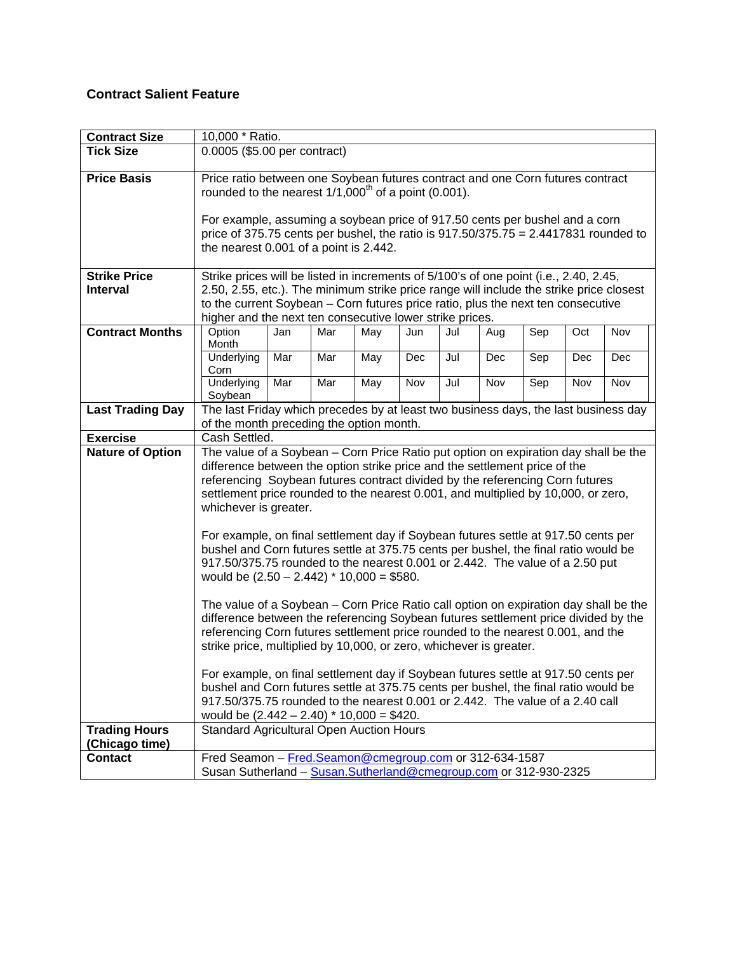# **Contract Salient Feature**

| <b>Contract Size</b>    | 10,000 * Ratio.                                                                                                                                                     |     |     |     |     |     |     |     |     |  |
|-------------------------|---------------------------------------------------------------------------------------------------------------------------------------------------------------------|-----|-----|-----|-----|-----|-----|-----|-----|--|
| <b>Tick Size</b>        | 0.0005 (\$5.00 per contract)                                                                                                                                        |     |     |     |     |     |     |     |     |  |
| <b>Price Basis</b>      | Price ratio between one Soybean futures contract and one Corn futures contract                                                                                      |     |     |     |     |     |     |     |     |  |
|                         | rounded to the nearest $1/1,000^{\text{th}}$ of a point (0.001).                                                                                                    |     |     |     |     |     |     |     |     |  |
|                         |                                                                                                                                                                     |     |     |     |     |     |     |     |     |  |
|                         | For example, assuming a soybean price of 917.50 cents per bushel and a corn                                                                                         |     |     |     |     |     |     |     |     |  |
|                         | price of 375.75 cents per bushel, the ratio is $917.50/375.75 = 2.4417831$ rounded to                                                                               |     |     |     |     |     |     |     |     |  |
|                         | the nearest 0.001 of a point is 2.442.                                                                                                                              |     |     |     |     |     |     |     |     |  |
| <b>Strike Price</b>     | Strike prices will be listed in increments of 5/100's of one point (i.e., 2.40, 2.45,                                                                               |     |     |     |     |     |     |     |     |  |
| <b>Interval</b>         | 2.50, 2.55, etc.). The minimum strike price range will include the strike price closest                                                                             |     |     |     |     |     |     |     |     |  |
|                         | to the current Soybean - Corn futures price ratio, plus the next ten consecutive                                                                                    |     |     |     |     |     |     |     |     |  |
|                         | higher and the next ten consecutive lower strike prices.                                                                                                            |     |     |     |     |     |     |     |     |  |
| <b>Contract Months</b>  | Option<br>Jan<br>Month                                                                                                                                              | Mar | May | Jun | Jul | Aug | Sep | Oct | Nov |  |
|                         | Mar<br>Underlying                                                                                                                                                   | Mar | May | Dec | Jul | Dec | Sep | Dec | Dec |  |
|                         | Corn                                                                                                                                                                |     |     |     |     |     |     |     |     |  |
|                         | Underlying<br>Mar                                                                                                                                                   | Mar | May | Nov | Jul | Nov | Sep | Nov | Nov |  |
|                         | Soybean                                                                                                                                                             |     |     |     |     |     |     |     |     |  |
| <b>Last Trading Day</b> | The last Friday which precedes by at least two business days, the last business day                                                                                 |     |     |     |     |     |     |     |     |  |
| <b>Exercise</b>         | of the month preceding the option month.<br>Cash Settled.                                                                                                           |     |     |     |     |     |     |     |     |  |
| <b>Nature of Option</b> |                                                                                                                                                                     |     |     |     |     |     |     |     |     |  |
|                         | The value of a Soybean - Corn Price Ratio put option on expiration day shall be the<br>difference between the option strike price and the settlement price of the   |     |     |     |     |     |     |     |     |  |
|                         | referencing Soybean futures contract divided by the referencing Corn futures                                                                                        |     |     |     |     |     |     |     |     |  |
|                         | settlement price rounded to the nearest 0.001, and multiplied by 10,000, or zero,                                                                                   |     |     |     |     |     |     |     |     |  |
|                         | whichever is greater.                                                                                                                                               |     |     |     |     |     |     |     |     |  |
|                         |                                                                                                                                                                     |     |     |     |     |     |     |     |     |  |
|                         | For example, on final settlement day if Soybean futures settle at 917.50 cents per                                                                                  |     |     |     |     |     |     |     |     |  |
|                         | bushel and Corn futures settle at 375.75 cents per bushel, the final ratio would be<br>917.50/375.75 rounded to the nearest 0.001 or 2.442. The value of a 2.50 put |     |     |     |     |     |     |     |     |  |
|                         | would be $(2.50 - 2.442) * 10,000 = $580$ .                                                                                                                         |     |     |     |     |     |     |     |     |  |
|                         |                                                                                                                                                                     |     |     |     |     |     |     |     |     |  |
|                         | The value of a Soybean – Corn Price Ratio call option on expiration day shall be the                                                                                |     |     |     |     |     |     |     |     |  |
|                         | difference between the referencing Soybean futures settlement price divided by the                                                                                  |     |     |     |     |     |     |     |     |  |
|                         | referencing Corn futures settlement price rounded to the nearest 0.001, and the<br>strike price, multiplied by 10,000, or zero, whichever is greater.               |     |     |     |     |     |     |     |     |  |
|                         |                                                                                                                                                                     |     |     |     |     |     |     |     |     |  |
|                         | For example, on final settlement day if Soybean futures settle at 917.50 cents per                                                                                  |     |     |     |     |     |     |     |     |  |
|                         | bushel and Corn futures settle at 375.75 cents per bushel, the final ratio would be                                                                                 |     |     |     |     |     |     |     |     |  |
|                         | 917.50/375.75 rounded to the nearest 0.001 or 2.442. The value of a 2.40 call                                                                                       |     |     |     |     |     |     |     |     |  |
|                         | would be $(2.442 - 2.40) * 10,000 = $420$ .                                                                                                                         |     |     |     |     |     |     |     |     |  |
| <b>Trading Hours</b>    | <b>Standard Agricultural Open Auction Hours</b>                                                                                                                     |     |     |     |     |     |     |     |     |  |
| (Chicago time)          |                                                                                                                                                                     |     |     |     |     |     |     |     |     |  |
| <b>Contact</b>          | Fred Seamon - Fred.Seamon@cmegroup.com or 312-634-1587                                                                                                              |     |     |     |     |     |     |     |     |  |
|                         | Susan Sutherland - Susan.Sutherland@cmegroup.com or 312-930-2325                                                                                                    |     |     |     |     |     |     |     |     |  |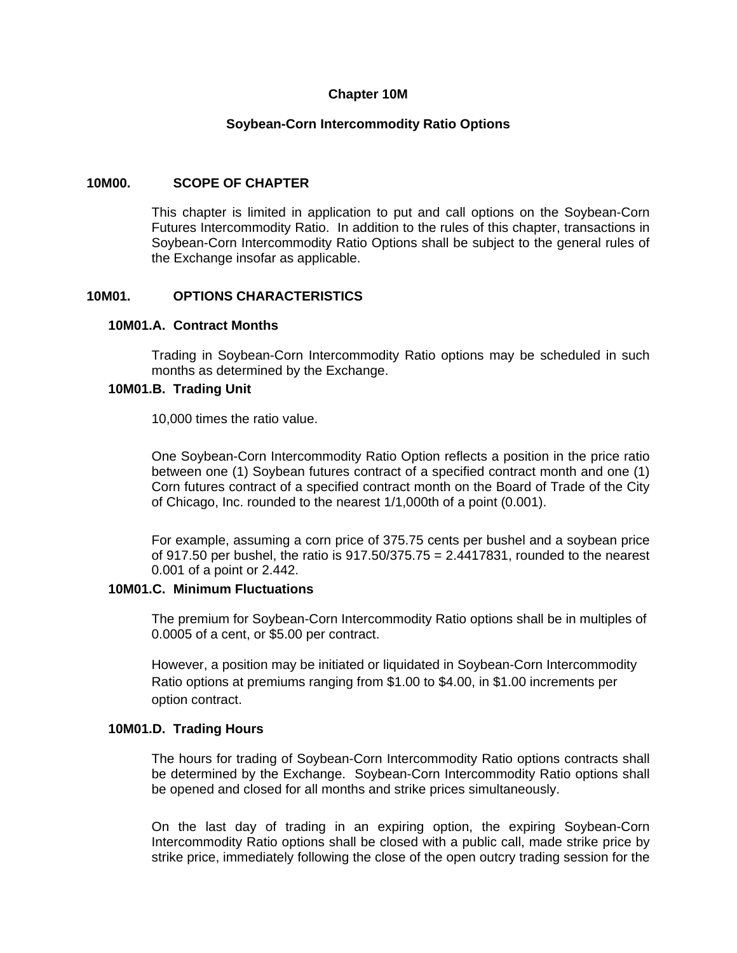#### **Chapter 10M**

#### **Soybean-Corn Intercommodity Ratio Options**

#### **10M00. SCOPE OF CHAPTER**

This chapter is limited in application to put and call options on the Soybean-Corn Futures Intercommodity Ratio. In addition to the rules of this chapter, transactions in Soybean-Corn Intercommodity Ratio Options shall be subject to the general rules of the Exchange insofar as applicable.

#### **10M01. OPTIONS CHARACTERISTICS**

#### **10M01.A. Contract Months**

Trading in Soybean-Corn Intercommodity Ratio options may be scheduled in such months as determined by the Exchange.

#### **10M01.B. Trading Unit**

10,000 times the ratio value.

One Soybean-Corn Intercommodity Ratio Option reflects a position in the price ratio between one (1) Soybean futures contract of a specified contract month and one (1) Corn futures contract of a specified contract month on the Board of Trade of the City of Chicago, Inc. rounded to the nearest 1/1,000th of a point (0.001).

For example, assuming a corn price of 375.75 cents per bushel and a soybean price of 917.50 per bushel, the ratio is  $917.50/375.75 = 2.4417831$ , rounded to the nearest 0.001 of a point or 2.442.

# **10M01.C. Minimum Fluctuations**

The premium for Soybean-Corn Intercommodity Ratio options shall be in multiples of 0.0005 of a cent, or \$5.00 per contract.

However, a position may be initiated or liquidated in Soybean-Corn Intercommodity Ratio options at premiums ranging from \$1.00 to \$4.00, in \$1.00 increments per option contract.

#### **10M01.D. Trading Hours**

The hours for trading of Soybean-Corn Intercommodity Ratio options contracts shall be determined by the Exchange. Soybean-Corn Intercommodity Ratio options shall be opened and closed for all months and strike prices simultaneously.

On the last day of trading in an expiring option, the expiring Soybean-Corn Intercommodity Ratio options shall be closed with a public call, made strike price by strike price, immediately following the close of the open outcry trading session for the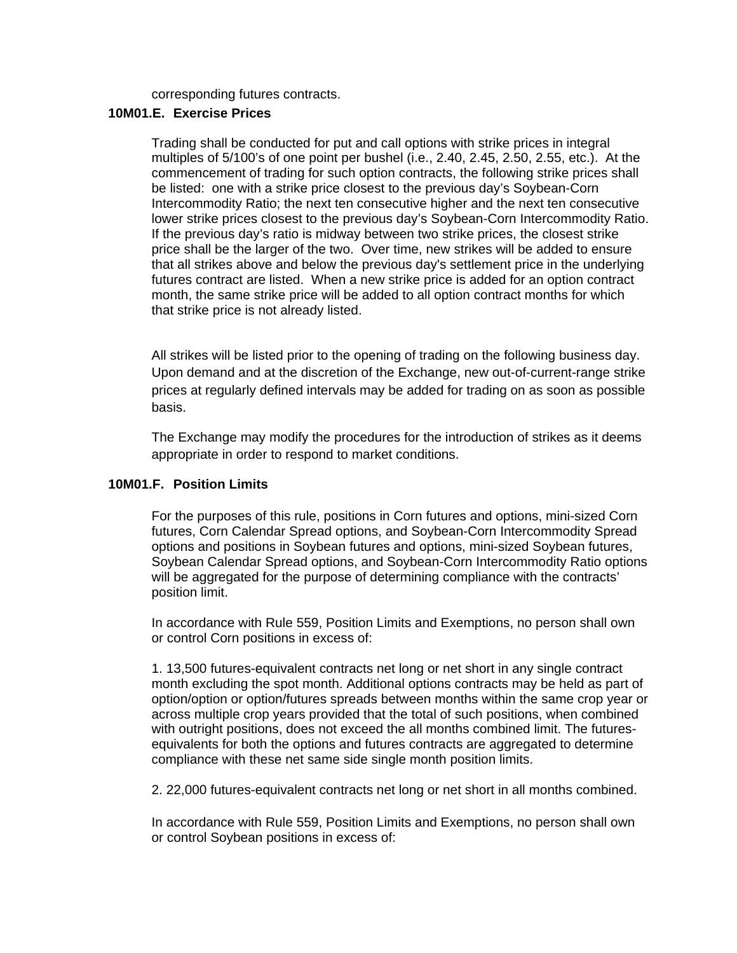corresponding futures contracts.

# **10M01.E. Exercise Prices**

Trading shall be conducted for put and call options with strike prices in integral multiples of 5/100's of one point per bushel (i.e., 2.40, 2.45, 2.50, 2.55, etc.). At the commencement of trading for such option contracts, the following strike prices shall be listed: one with a strike price closest to the previous day's Soybean-Corn Intercommodity Ratio; the next ten consecutive higher and the next ten consecutive lower strike prices closest to the previous day's Soybean-Corn Intercommodity Ratio. If the previous day's ratio is midway between two strike prices, the closest strike price shall be the larger of the two. Over time, new strikes will be added to ensure that all strikes above and below the previous day's settlement price in the underlying futures contract are listed. When a new strike price is added for an option contract month, the same strike price will be added to all option contract months for which that strike price is not already listed.

All strikes will be listed prior to the opening of trading on the following business day. Upon demand and at the discretion of the Exchange, new out-of-current-range strike prices at regularly defined intervals may be added for trading on as soon as possible basis.

The Exchange may modify the procedures for the introduction of strikes as it deems appropriate in order to respond to market conditions.

#### **10M01.F. Position Limits**

For the purposes of this rule, positions in Corn futures and options, mini-sized Corn futures, Corn Calendar Spread options, and Soybean-Corn Intercommodity Spread options and positions in Soybean futures and options, mini-sized Soybean futures, Soybean Calendar Spread options, and Soybean-Corn Intercommodity Ratio options will be aggregated for the purpose of determining compliance with the contracts' position limit.

In accordance with Rule 559, Position Limits and Exemptions, no person shall own or control Corn positions in excess of:

1. 13,500 futures-equivalent contracts net long or net short in any single contract month excluding the spot month. Additional options contracts may be held as part of option/option or option/futures spreads between months within the same crop year or across multiple crop years provided that the total of such positions, when combined with outright positions, does not exceed the all months combined limit. The futuresequivalents for both the options and futures contracts are aggregated to determine compliance with these net same side single month position limits.

2. 22,000 futures-equivalent contracts net long or net short in all months combined.

In accordance with Rule 559, Position Limits and Exemptions, no person shall own or control Soybean positions in excess of: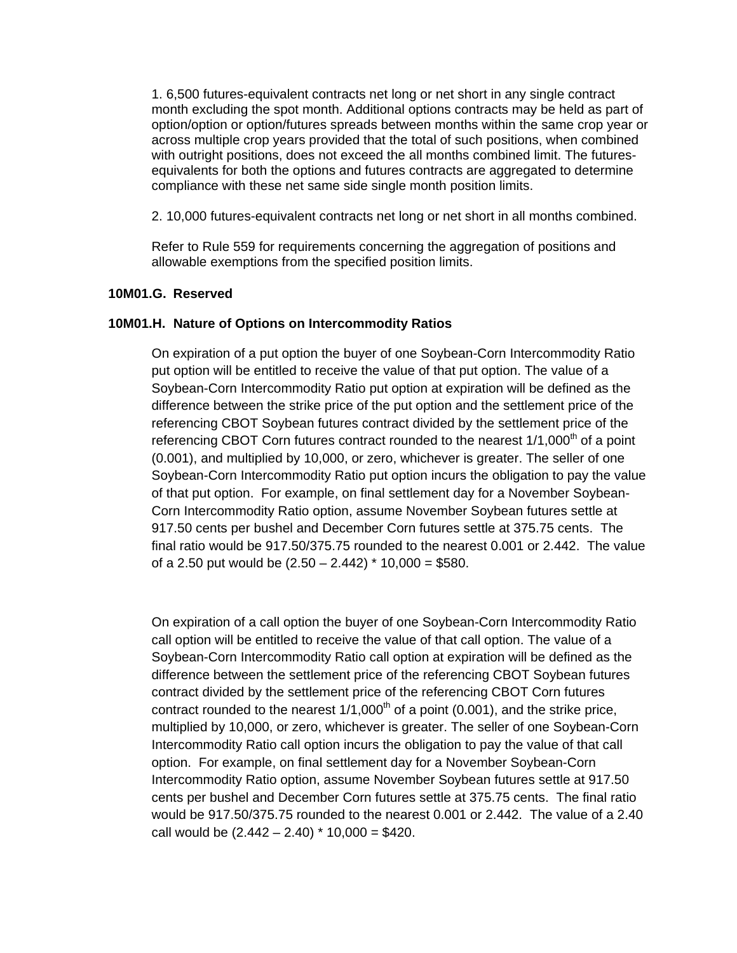1. 6,500 futures-equivalent contracts net long or net short in any single contract month excluding the spot month. Additional options contracts may be held as part of option/option or option/futures spreads between months within the same crop year or across multiple crop years provided that the total of such positions, when combined with outright positions, does not exceed the all months combined limit. The futuresequivalents for both the options and futures contracts are aggregated to determine compliance with these net same side single month position limits.

2. 10,000 futures-equivalent contracts net long or net short in all months combined.

Refer to Rule 559 for requirements concerning the aggregation of positions and allowable exemptions from the specified position limits.

## **10M01.G. Reserved**

## **10M01.H. Nature of Options on Intercommodity Ratios**

On expiration of a put option the buyer of one Soybean-Corn Intercommodity Ratio put option will be entitled to receive the value of that put option. The value of a Soybean-Corn Intercommodity Ratio put option at expiration will be defined as the difference between the strike price of the put option and the settlement price of the referencing CBOT Soybean futures contract divided by the settlement price of the referencing CBOT Corn futures contract rounded to the nearest  $1/1,000<sup>th</sup>$  of a point (0.001), and multiplied by 10,000, or zero, whichever is greater. The seller of one Soybean-Corn Intercommodity Ratio put option incurs the obligation to pay the value of that put option. For example, on final settlement day for a November Soybean-Corn Intercommodity Ratio option, assume November Soybean futures settle at 917.50 cents per bushel and December Corn futures settle at 375.75 cents. The final ratio would be 917.50/375.75 rounded to the nearest 0.001 or 2.442. The value of a 2.50 put would be  $(2.50 - 2.442) * 10,000 = $580$ .

On expiration of a call option the buyer of one Soybean-Corn Intercommodity Ratio call option will be entitled to receive the value of that call option. The value of a Soybean-Corn Intercommodity Ratio call option at expiration will be defined as the difference between the settlement price of the referencing CBOT Soybean futures contract divided by the settlement price of the referencing CBOT Corn futures contract rounded to the nearest  $1/1,000<sup>th</sup>$  of a point (0.001), and the strike price, multiplied by 10,000, or zero, whichever is greater. The seller of one Soybean-Corn Intercommodity Ratio call option incurs the obligation to pay the value of that call option. For example, on final settlement day for a November Soybean-Corn Intercommodity Ratio option, assume November Soybean futures settle at 917.50 cents per bushel and December Corn futures settle at 375.75 cents. The final ratio would be 917.50/375.75 rounded to the nearest 0.001 or 2.442. The value of a 2.40 call would be  $(2.442 - 2.40) * 10,000 = $420$ .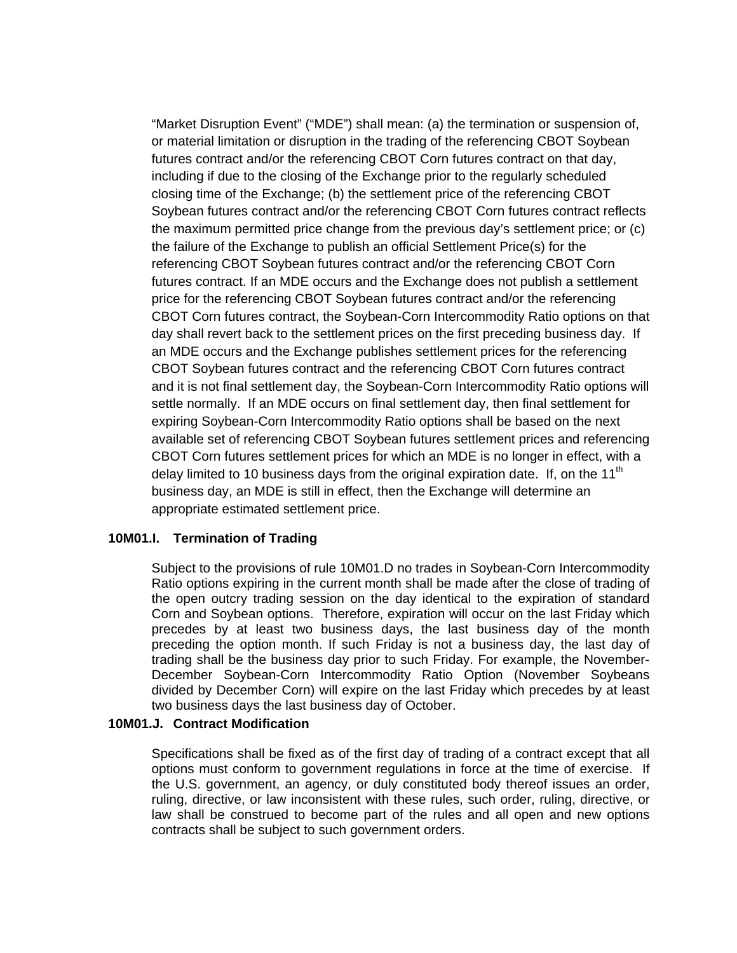"Market Disruption Event" ("MDE") shall mean: (a) the termination or suspension of, or material limitation or disruption in the trading of the referencing CBOT Soybean futures contract and/or the referencing CBOT Corn futures contract on that day, including if due to the closing of the Exchange prior to the regularly scheduled closing time of the Exchange; (b) the settlement price of the referencing CBOT Soybean futures contract and/or the referencing CBOT Corn futures contract reflects the maximum permitted price change from the previous day's settlement price; or (c) the failure of the Exchange to publish an official Settlement Price(s) for the referencing CBOT Soybean futures contract and/or the referencing CBOT Corn futures contract. If an MDE occurs and the Exchange does not publish a settlement price for the referencing CBOT Soybean futures contract and/or the referencing CBOT Corn futures contract, the Soybean-Corn Intercommodity Ratio options on that day shall revert back to the settlement prices on the first preceding business day. If an MDE occurs and the Exchange publishes settlement prices for the referencing CBOT Soybean futures contract and the referencing CBOT Corn futures contract and it is not final settlement day, the Soybean-Corn Intercommodity Ratio options will settle normally. If an MDE occurs on final settlement day, then final settlement for expiring Soybean-Corn Intercommodity Ratio options shall be based on the next available set of referencing CBOT Soybean futures settlement prices and referencing CBOT Corn futures settlement prices for which an MDE is no longer in effect, with a delay limited to 10 business days from the original expiration date. If, on the 11<sup>th</sup> business day, an MDE is still in effect, then the Exchange will determine an appropriate estimated settlement price.

#### **10M01.I. Termination of Trading**

Subject to the provisions of rule 10M01.D no trades in Soybean-Corn Intercommodity Ratio options expiring in the current month shall be made after the close of trading of the open outcry trading session on the day identical to the expiration of standard Corn and Soybean options. Therefore, expiration will occur on the last Friday which precedes by at least two business days, the last business day of the month preceding the option month. If such Friday is not a business day, the last day of trading shall be the business day prior to such Friday. For example, the November-December Soybean-Corn Intercommodity Ratio Option (November Soybeans divided by December Corn) will expire on the last Friday which precedes by at least two business days the last business day of October.

#### **10M01.J. Contract Modification**

Specifications shall be fixed as of the first day of trading of a contract except that all options must conform to government regulations in force at the time of exercise. If the U.S. government, an agency, or duly constituted body thereof issues an order, ruling, directive, or law inconsistent with these rules, such order, ruling, directive, or law shall be construed to become part of the rules and all open and new options contracts shall be subject to such government orders.